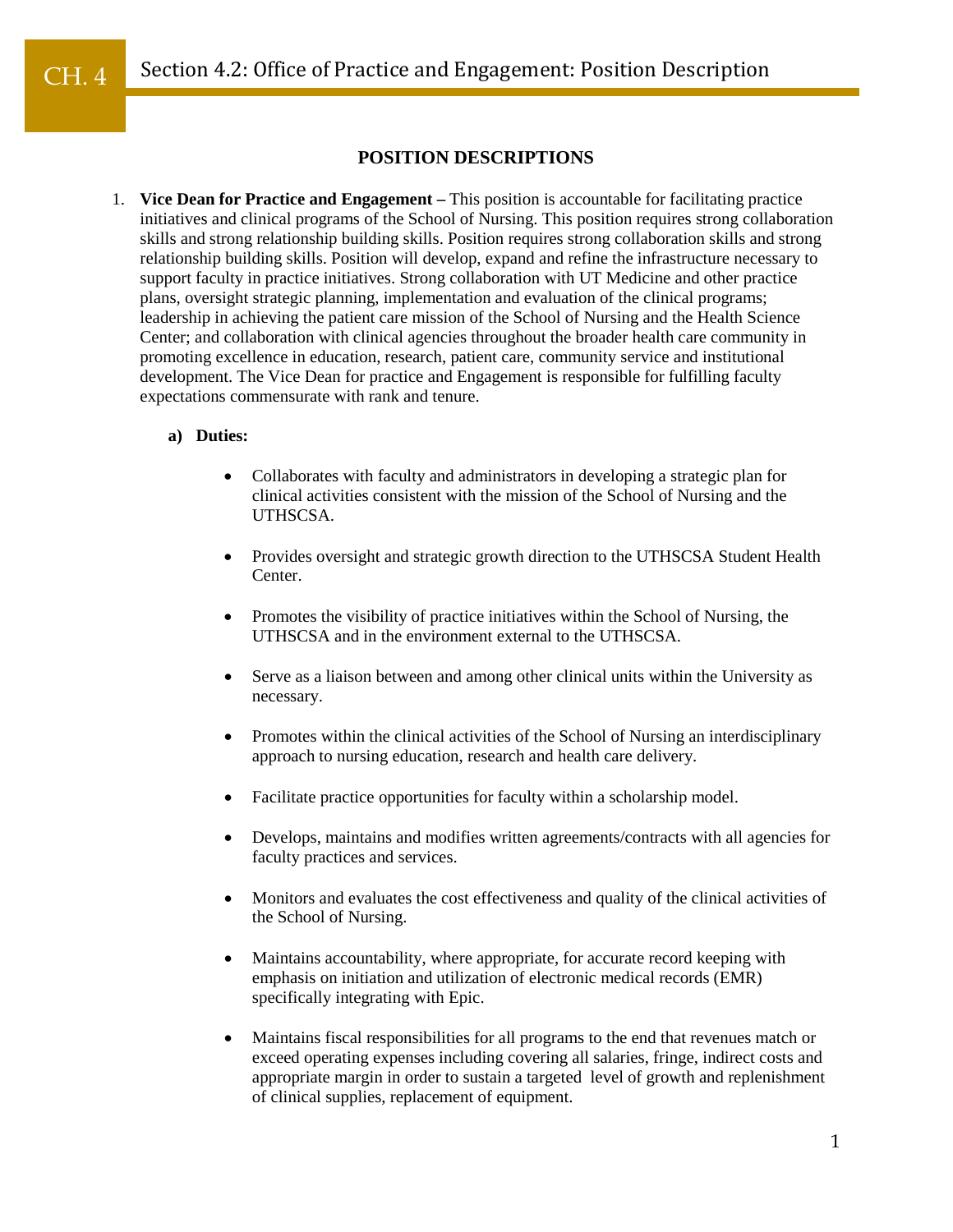# **POSITION DESCRIPTIONS**

1. **Vice Dean for Practice and Engagement –** This position is accountable for facilitating practice initiatives and clinical programs of the School of Nursing. This position requires strong collaboration skills and strong relationship building skills. Position requires strong collaboration skills and strong relationship building skills. Position will develop, expand and refine the infrastructure necessary to support faculty in practice initiatives. Strong collaboration with UT Medicine and other practice plans, oversight strategic planning, implementation and evaluation of the clinical programs; leadership in achieving the patient care mission of the School of Nursing and the Health Science Center; and collaboration with clinical agencies throughout the broader health care community in promoting excellence in education, research, patient care, community service and institutional development. The Vice Dean for practice and Engagement is responsible for fulfilling faculty expectations commensurate with rank and tenure.

#### **a) Duties:**

- Collaborates with faculty and administrators in developing a strategic plan for clinical activities consistent with the mission of the School of Nursing and the UTHSCSA.
- Provides oversight and strategic growth direction to the UTHSCSA Student Health Center.
- Promotes the visibility of practice initiatives within the School of Nursing, the UTHSCSA and in the environment external to the UTHSCSA.
- Serve as a liaison between and among other clinical units within the University as necessary.
- Promotes within the clinical activities of the School of Nursing an interdisciplinary approach to nursing education, research and health care delivery.
- Facilitate practice opportunities for faculty within a scholarship model.
- Develops, maintains and modifies written agreements/contracts with all agencies for faculty practices and services.
- Monitors and evaluates the cost effectiveness and quality of the clinical activities of the School of Nursing.
- Maintains accountability, where appropriate, for accurate record keeping with emphasis on initiation and utilization of electronic medical records (EMR) specifically integrating with Epic.
- Maintains fiscal responsibilities for all programs to the end that revenues match or exceed operating expenses including covering all salaries, fringe, indirect costs and appropriate margin in order to sustain a targeted level of growth and replenishment of clinical supplies, replacement of equipment.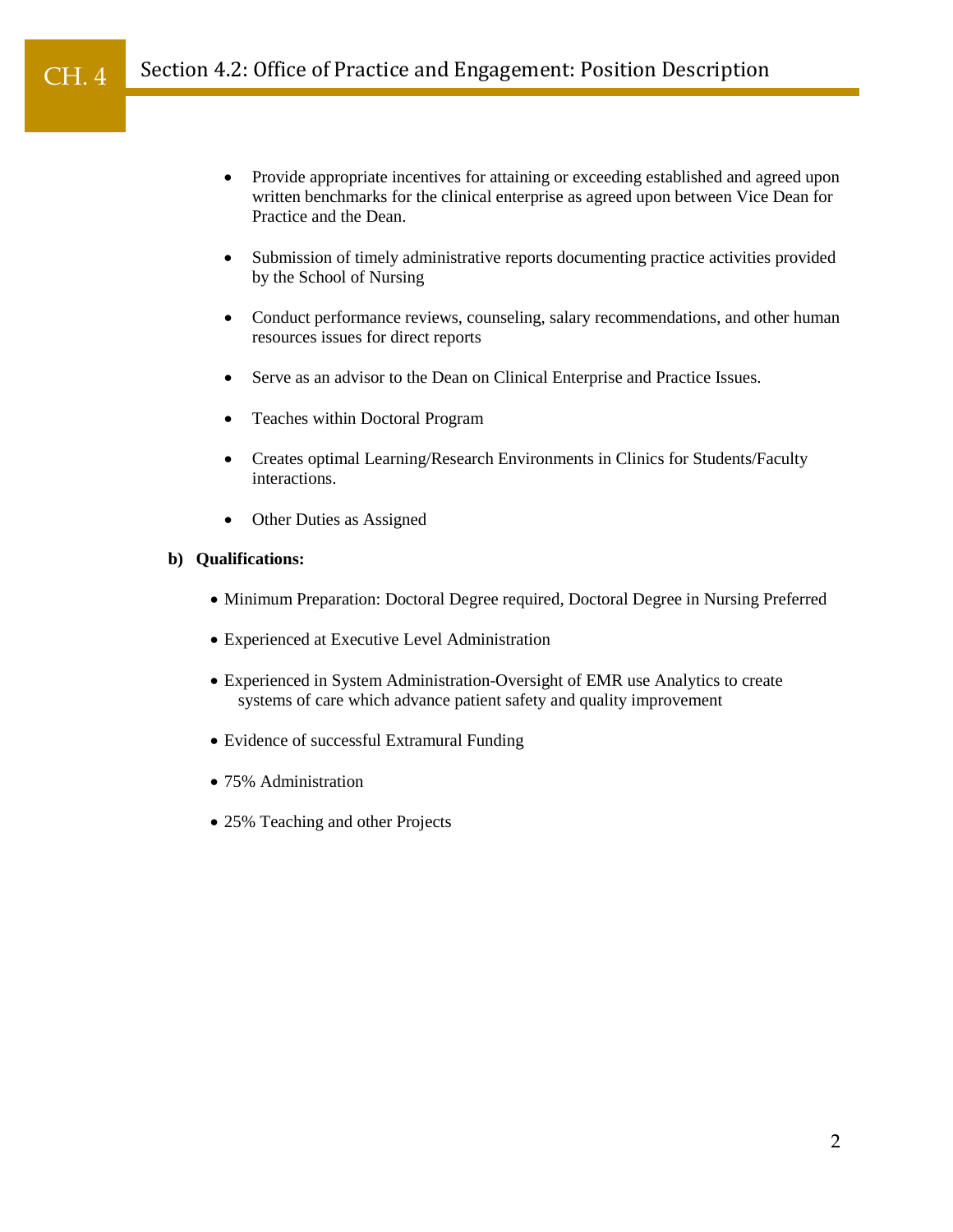#### Section 4.2: Office of Practice and Engagement: Position Description CH. 4

- Provide appropriate incentives for attaining or exceeding established and agreed upon written benchmarks for the clinical enterprise as agreed upon between Vice Dean for Practice and the Dean.
- Submission of timely administrative reports documenting practice activities provided by the School of Nursing
- Conduct performance reviews, counseling, salary recommendations, and other human resources issues for direct reports
- Serve as an advisor to the Dean on Clinical Enterprise and Practice Issues.
- Teaches within Doctoral Program
- Creates optimal Learning/Research Environments in Clinics for Students/Faculty interactions.
- Other Duties as Assigned

### **b) Qualifications:**

- Minimum Preparation: Doctoral Degree required, Doctoral Degree in Nursing Preferred
- Experienced at Executive Level Administration
- Experienced in System Administration-Oversight of EMR use Analytics to create systems of care which advance patient safety and quality improvement
- Evidence of successful Extramural Funding
- 75% Administration
- 25% Teaching and other Projects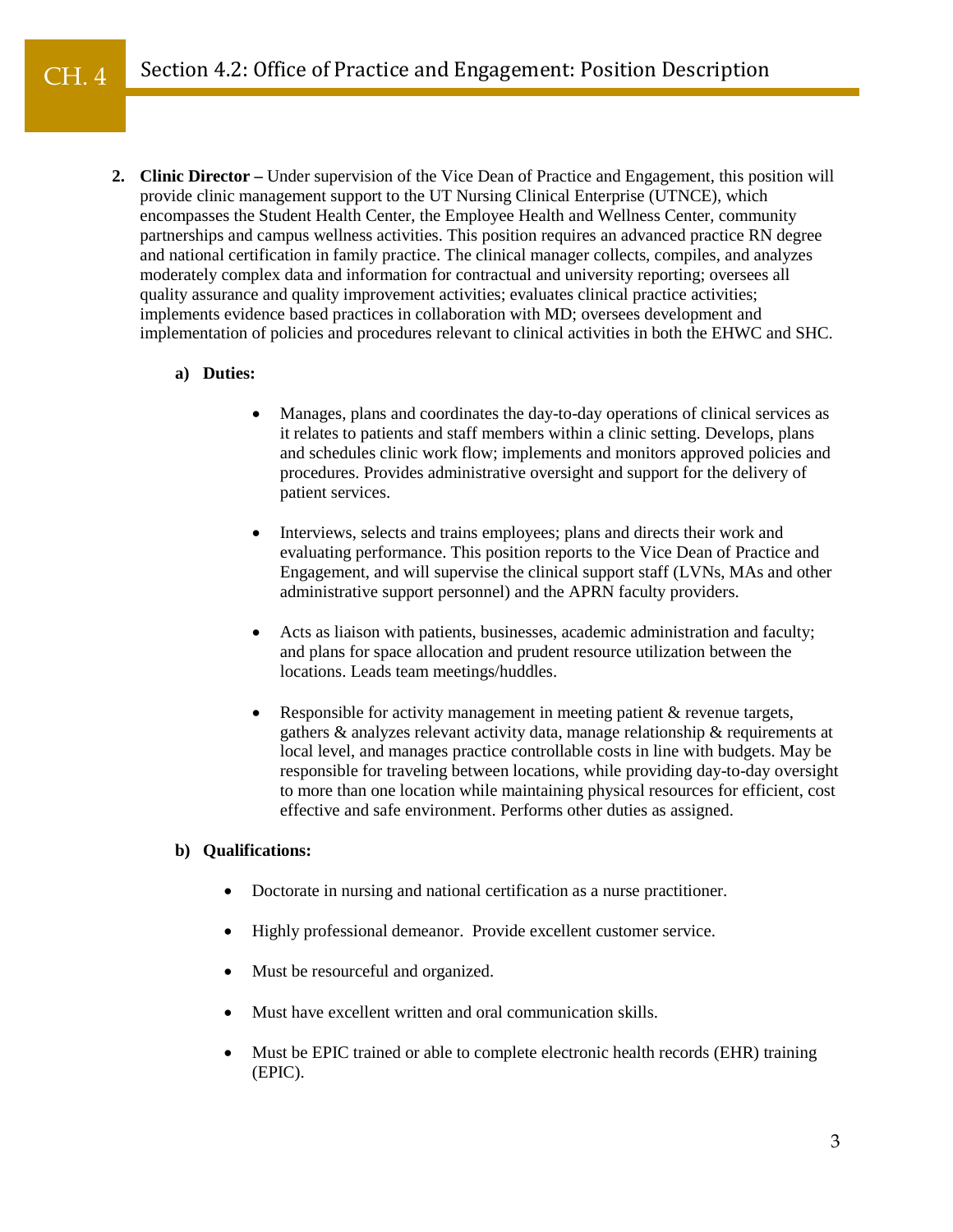**2. Clinic Director –** Under supervision of the Vice Dean of Practice and Engagement, this position will provide clinic management support to the UT Nursing Clinical Enterprise (UTNCE), which encompasses the Student Health Center, the Employee Health and Wellness Center, community partnerships and campus wellness activities. This position requires an advanced practice RN degree and national certification in family practice. The clinical manager collects, compiles, and analyzes moderately complex data and information for contractual and university reporting; oversees all quality assurance and quality improvement activities; evaluates clinical practice activities; implements evidence based practices in collaboration with MD; oversees development and implementation of policies and procedures relevant to clinical activities in both the EHWC and SHC.

#### **a) Duties:**

- Manages, plans and coordinates the day-to-day operations of clinical services as it relates to patients and staff members within a clinic setting. Develops, plans and schedules clinic work flow; implements and monitors approved policies and procedures. Provides administrative oversight and support for the delivery of patient services.
- Interviews, selects and trains employees; plans and directs their work and evaluating performance. This position reports to the Vice Dean of Practice and Engagement, and will supervise the clinical support staff (LVNs, MAs and other administrative support personnel) and the APRN faculty providers.
- Acts as liaison with patients, businesses, academic administration and faculty; and plans for space allocation and prudent resource utilization between the locations. Leads team meetings/huddles.
- Responsible for activity management in meeting patient & revenue targets, gathers & analyzes relevant activity data, manage relationship & requirements at local level, and manages practice controllable costs in line with budgets. May be responsible for traveling between locations, while providing day-to-day oversight to more than one location while maintaining physical resources for efficient, cost effective and safe environment. Performs other duties as assigned.

### **b) Qualifications:**

- Doctorate in nursing and national certification as a nurse practitioner.
- Highly professional demeanor. Provide excellent customer service.
- Must be resourceful and organized.
- Must have excellent written and oral communication skills.
- Must be EPIC trained or able to complete electronic health records (EHR) training (EPIC).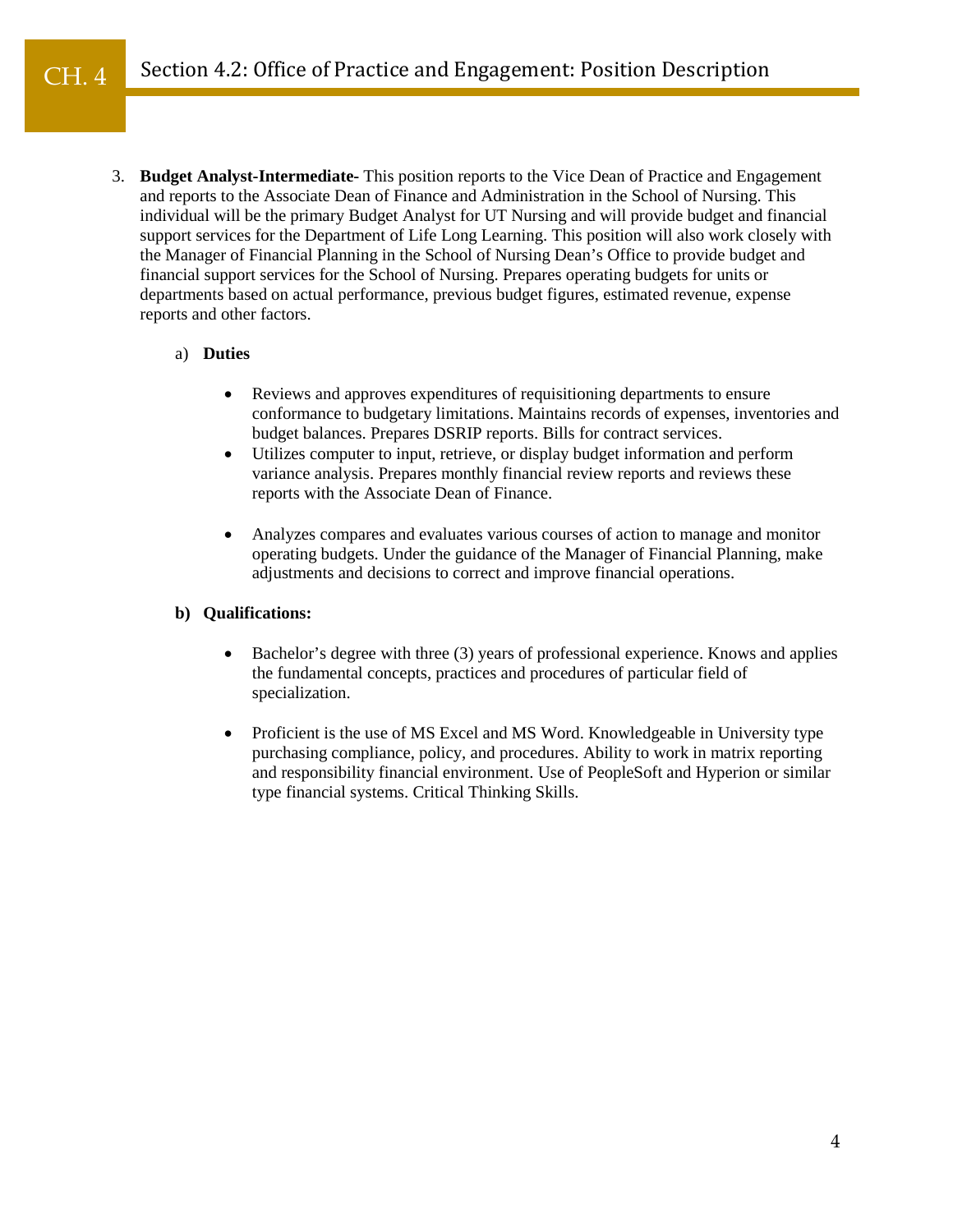3. **Budget Analyst-Intermediate-** This position reports to the Vice Dean of Practice and Engagement and reports to the Associate Dean of Finance and Administration in the School of Nursing. This individual will be the primary Budget Analyst for UT Nursing and will provide budget and financial support services for the Department of Life Long Learning. This position will also work closely with the Manager of Financial Planning in the School of Nursing Dean's Office to provide budget and financial support services for the School of Nursing. Prepares operating budgets for units or departments based on actual performance, previous budget figures, estimated revenue, expense reports and other factors.

#### a) **Duties**

- Reviews and approves expenditures of requisitioning departments to ensure conformance to budgetary limitations. Maintains records of expenses, inventories and budget balances. Prepares DSRIP reports. Bills for contract services.
- Utilizes computer to input, retrieve, or display budget information and perform variance analysis. Prepares monthly financial review reports and reviews these reports with the Associate Dean of Finance.
- Analyzes compares and evaluates various courses of action to manage and monitor operating budgets. Under the guidance of the Manager of Financial Planning, make adjustments and decisions to correct and improve financial operations.

## **b) Qualifications:**

- Bachelor's degree with three (3) years of professional experience. Knows and applies the fundamental concepts, practices and procedures of particular field of specialization.
- Proficient is the use of MS Excel and MS Word. Knowledgeable in University type purchasing compliance, policy, and procedures. Ability to work in matrix reporting and responsibility financial environment. Use of PeopleSoft and Hyperion or similar type financial systems. Critical Thinking Skills.